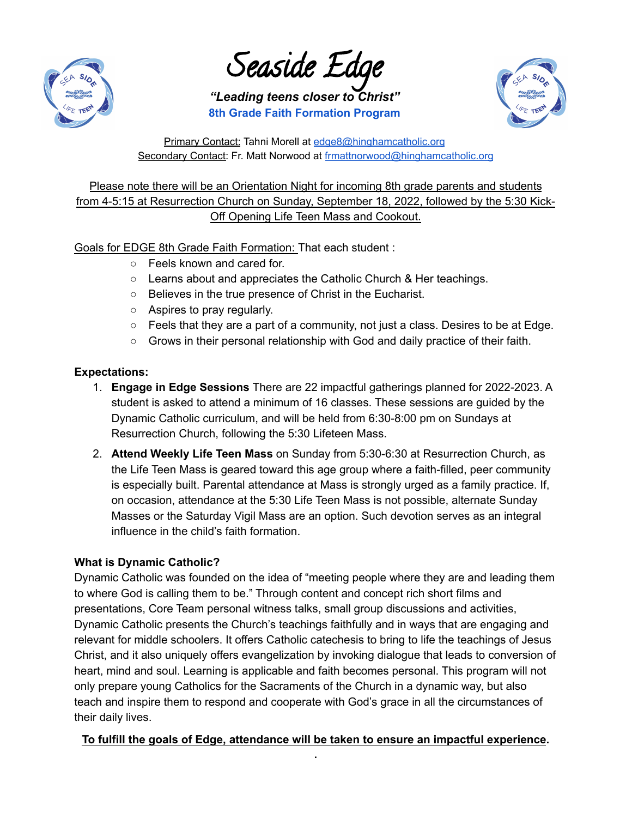

Seaside Edge

*"Leading teens closer to Christ"* **8th Grade Faith Formation Program**



Primary Contact: Tahni Morell at [edge8@hinghamcatholic.org](mailto:edge8@hinghamcatholic.org) Secondary Contact: Fr. Matt Norwood at [frmattnorwood@hinghamcatholic.org](mailto:frmattnorwood@hinghamcatholic.org)

Please note there will be an Orientation Night for incoming 8th grade parents and students from 4-5:15 at Resurrection Church on Sunday, September 18, 2022, followed by the 5:30 Kick-Off Opening Life Teen Mass and Cookout.

Goals for EDGE 8th Grade Faith Formation: That each student :

- Feels known and cared for.
- Learns about and appreciates the Catholic Church & Her teachings.
- Believes in the true presence of Christ in the Eucharist.
- Aspires to pray regularly.
- $\circ$  Feels that they are a part of a community, not just a class. Desires to be at Edge.
- Grows in their personal relationship with God and daily practice of their faith.

## **Expectations:**

- 1. **Engage in Edge Sessions** There are 22 impactful gatherings planned for 2022-2023. A student is asked to attend a minimum of 16 classes. These sessions are guided by the Dynamic Catholic curriculum, and will be held from 6:30-8:00 pm on Sundays at Resurrection Church, following the 5:30 Lifeteen Mass.
- 2. **Attend Weekly Life Teen Mass** on Sunday from 5:30-6:30 at Resurrection Church, as the Life Teen Mass is geared toward this age group where a faith-filled, peer community is especially built. Parental attendance at Mass is strongly urged as a family practice. If, on occasion, attendance at the 5:30 Life Teen Mass is not possible, alternate Sunday Masses or the Saturday Vigil Mass are an option. Such devotion serves as an integral influence in the child's faith formation.

# **What is Dynamic Catholic?**

Dynamic Catholic was founded on the idea of "meeting people where they are and leading them to where God is calling them to be." Through content and concept rich short films and presentations, Core Team personal witness talks, small group discussions and activities, Dynamic Catholic presents the Church's teachings faithfully and in ways that are engaging and relevant for middle schoolers. It offers Catholic catechesis to bring to life the teachings of Jesus Christ, and it also uniquely offers evangelization by invoking dialogue that leads to conversion of heart, mind and soul. Learning is applicable and faith becomes personal. This program will not only prepare young Catholics for the Sacraments of the Church in a dynamic way, but also teach and inspire them to respond and cooperate with God's grace in all the circumstances of their daily lives.

### **To fulfill the goals of Edge, attendance will be taken to ensure an impactful experience. .**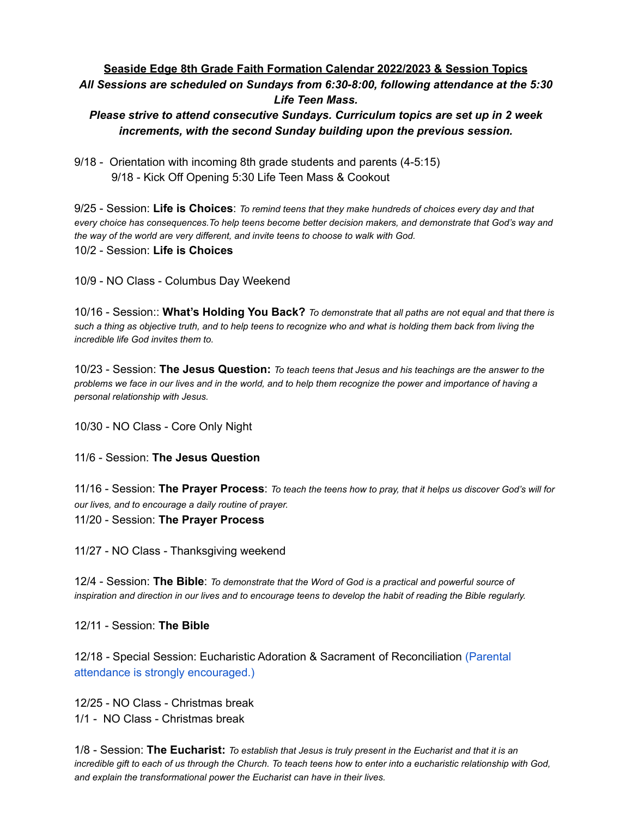## **Seaside Edge 8th Grade Faith Formation Calendar 2022/2023 & Session Topics** *All Sessions are scheduled on Sundays from 6:30-8:00, following attendance at the 5:30 Life Teen Mass.*

### *Please strive to attend consecutive Sundays. Curriculum topics are set up in 2 week increments, with the second Sunday building upon the previous session.*

9/18 - Orientation with incoming 8th grade students and parents (4-5:15) 9/18 - Kick Off Opening 5:30 Life Teen Mass & Cookout

9/25 - Session: **Life is Choices**: *To remind teens that they make hundreds of choices every day and that every choice has consequences.To help teens become better decision makers, and demonstrate that God's way and the way of the world are very different, and invite teens to choose to walk with God.* 10/2 - Session: **Life is Choices**

10/9 - NO Class - Columbus Day Weekend

10/16 - Session:: **What's Holding You Back?** *To demonstrate that all paths are not equal and that there is such a thing as objective truth, and to help teens to recognize who and what is holding them back from living the incredible life God invites them to.*

10/23 - Session: **The Jesus Question:** *To teach teens that Jesus and his teachings are the answer to the problems we face in our lives and in the world, and to help them recognize the power and importance of having a personal relationship with Jesus.*

10/30 - NO Class - Core Only Night

11/6 - Session: **The Jesus Question**

11/16 - Session: **The Prayer Process**: *To teach the teens how to pray, that it helps us discover God's will for our lives, and to encourage a daily routine of prayer.* 11/20 - Session: **The Prayer Process**

11/27 - NO Class - Thanksgiving weekend

12/4 - Session: **The Bible**: *To demonstrate that the Word of God is a practical and powerful source of inspiration and direction in our lives and to encourage teens to develop the habit of reading the Bible regularly.*

12/11 - Session: **The Bible**

12/18 *-* Special Session: Eucharistic Adoration & Sacrament of Reconciliation (Parental attendance is strongly encouraged.)

12/25 - NO Class - Christmas break 1/1 - NO Class - Christmas break

1/8 - Session: **The Eucharist:** *To establish that Jesus is truly present in the Eucharist and that it is an incredible gift to each of us through the Church. To teach teens how to enter into a eucharistic relationship with God, and explain the transformational power the Eucharist can have in their lives.*